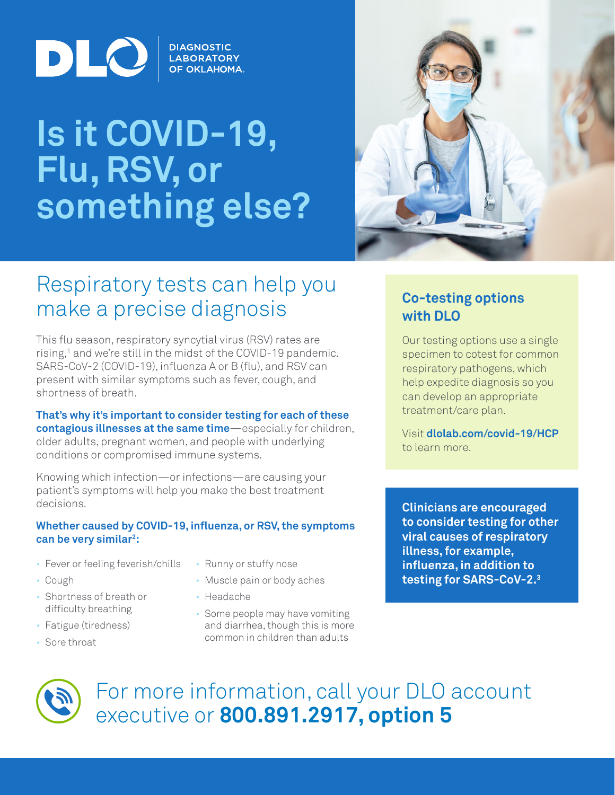

# **Is it COVID-19, Flu, RSV, or something else?**

**DIAGNOSTIC LABORATORY OF OKLAHOMA.** 



# Respiratory tests can help you make a precise diagnosis

This flu season, respiratory syncytial virus (RSV) rates are rising,<sup>1</sup> and we're still in the midst of the COVID-19 pandemic. SARS-CoV-2 (COVID-19), influenza A or B (flu), and RSV can present with similar symptoms such as fever, cough, and shortness of breath.

**That's why it's important to consider testing for each of these contagious illnesses at the same time**—especially for children, older adults, pregnant women, and people with underlying conditions or compromised immune systems.

Knowing which infection—or infections—are causing your patient's symptoms will help you make the best treatment decisions.

#### **Whether caused by COVID-19, influenza, or RSV, the symptoms can be very similar2 :**

- Fever or feeling feverish/chills
- Cough
- Shortness of breath or difficulty breathing
- Fatigue (tiredness)
- Sore throat
- Runny or stuffy nose
- Muscle pain or body aches
- Headache
- Some people may have vomiting and diarrhea, though this is more common in children than adults

**Co-testing options with DLO**

Our testing options use a single specimen to cotest for common respiratory pathogens, which help expedite diagnosis so you can develop an appropriate treatment/care plan.

Visit **dlolab.com/covid-19/HCP** to learn more.

**Clinicians are encouraged to consider testing for other viral causes of respiratory illness, for example, influenza, in addition to testing for SARS-CoV-2.3**



For more information, call your DLO account executive or **800.891.2917, option 5**